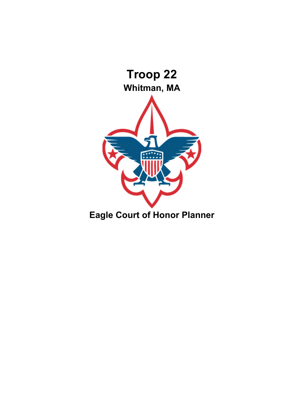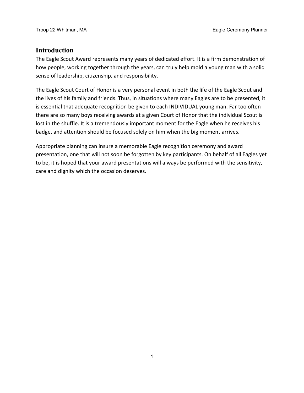## **Introduction**

The Eagle Scout Award represents many years of dedicated effort. It is a firm demonstration of how people, working together through the years, can truly help mold a young man with a solid sense of leadership, citizenship, and responsibility.

The Eagle Scout Court of Honor is a very personal event in both the life of the Eagle Scout and the lives of his family and friends. Thus, in situations where many Eagles are to be presented, it is essential that adequate recognition be given to each INDIVIDUAL young man. Far too often there are so many boys receiving awards at a given Court of Honor that the individual Scout is lost in the shuffle. It is a tremendously important moment for the Eagle when he receives his badge, and attention should be focused solely on him when the big moment arrives.

Appropriate planning can insure a memorable Eagle recognition ceremony and award presentation, one that will not soon be forgotten by key participants. On behalf of all Eagles yet to be, it is hoped that your award presentations will always be performed with the sensitivity, care and dignity which the occasion deserves.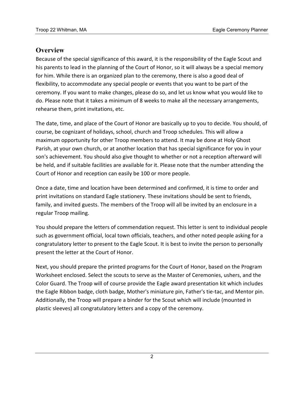## **Overview**

Because of the special significance of this award, it is the responsibility of the Eagle Scout and his parents to lead in the planning of the Court of Honor, so it will always be a special memory for him. While there is an organized plan to the ceremony, there is also a good deal of flexibility, to accommodate any special people or events that you want to be part of the ceremony. If you want to make changes, please do so, and let us know what you would like to do. Please note that it takes a minimum of 8 weeks to make all the necessary arrangements, rehearse them, print invitations, etc.

The date, time, and place of the Court of Honor are basically up to you to decide. You should, of course, be cognizant of holidays, school, church and Troop schedules. This will allow a maximum opportunity for other Troop members to attend. It may be done at Holy Ghost Parish, at your own church, or at another location that has special significance for you in your son's achievement. You should also give thought to whether or not a reception afterward will be held, and if suitable facilities are available for it. Please note that the number attending the Court of Honor and reception can easily be 100 or more people.

Once a date, time and location have been determined and confirmed, it is time to order and print invitations on standard Eagle stationery. These invitations should be sent to friends, family, and invited guests. The members of the Troop will all be invited by an enclosure in a regular Troop mailing.

You should prepare the letters of commendation request. This letter is sent to individual people such as government official, local town officials, teachers, and other noted people asking for a congratulatory letter to present to the Eagle Scout. It is best to invite the person to personally present the letter at the Court of Honor.

Next, you should prepare the printed programs for the Court of Honor, based on the Program Worksheet enclosed. Select the scouts to serve as the Master of Ceremonies, ushers, and the Color Guard. The Troop will of course provide the Eagle award presentation kit which includes the Eagle Ribbon badge, cloth badge, Mother's miniature pin, Father's tie-tac, and Mentor pin. Additionally, the Troop will prepare a binder for the Scout which will include (mounted in plastic sleeves) all congratulatory letters and a copy of the ceremony.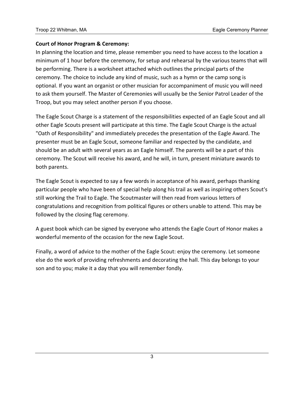### **Court of Honor Program & Ceremony:**

In planning the location and time, please remember you need to have access to the location a minimum of 1 hour before the ceremony, for setup and rehearsal by the various teams that will be performing. There is a worksheet attached which outlines the principal parts of the ceremony. The choice to include any kind of music, such as a hymn or the camp song is optional. If you want an organist or other musician for accompaniment of music you will need to ask them yourself. The Master of Ceremonies will usually be the Senior Patrol Leader of the Troop, but you may select another person if you choose.

The Eagle Scout Charge is a statement of the responsibilities expected of an Eagle Scout and all other Eagle Scouts present will participate at this time. The Eagle Scout Charge is the actual "Oath of Responsibility" and immediately precedes the presentation of the Eagle Award. The presenter must be an Eagle Scout, someone familiar and respected by the candidate, and should be an adult with several years as an Eagle himself. The parents will be a part of this ceremony. The Scout will receive his award, and he will, in turn, present miniature awards to both parents.

The Eagle Scout is expected to say a few words in acceptance of his award, perhaps thanking particular people who have been of special help along his trail as well as inspiring others Scout's still working the Trail to Eagle. The Scoutmaster will then read from various letters of congratulations and recognition from political figures or others unable to attend. This may be followed by the closing flag ceremony.

A guest book which can be signed by everyone who attends the Eagle Court of Honor makes a wonderful memento of the occasion for the new Eagle Scout.

Finally, a word of advice to the mother of the Eagle Scout: enjoy the ceremony. Let someone else do the work of providing refreshments and decorating the hall. This day belongs to your son and to you; make it a day that you will remember fondly.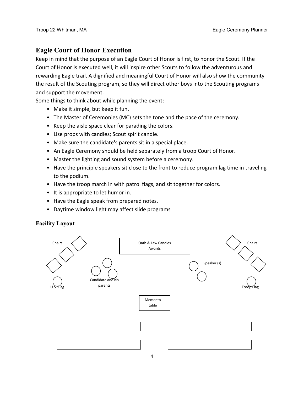### **Eagle Court of Honor Execution**

Keep in mind that the purpose of an Eagle Court of Honor is first, to honor the Scout. If the Court of Honor is executed well, it will inspire other Scouts to follow the adventurous and rewarding Eagle trail. A dignified and meaningful Court of Honor will also show the community the result of the Scouting program, so they will direct other boys into the Scouting programs and support the movement.

Some things to think about while planning the event:

- Make it simple, but keep it fun.
- The Master of Ceremonies (MC) sets the tone and the pace of the ceremony.
- Keep the aisle space clear for parading the colors.
- Use props with candles; Scout spirit candle.
- Make sure the candidate's parents sit in a special place.
- An Eagle Ceremony should be held separately from a troop Court of Honor.
- Master the lighting and sound system before a ceremony.
- Have the principle speakers sit close to the front to reduce program lag time in traveling to the podium.
- Have the troop march in with patrol flags, and sit together for colors.
- It is appropriate to let humor in.
- Have the Eagle speak from prepared notes.
- Daytime window light may affect slide programs

#### **Facility Layout**

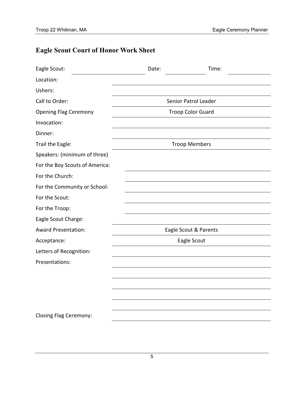# **Eagle Scout Court of Honor Work Sheet**

| Eagle Scout:                   | Date: | Time:                    |  |
|--------------------------------|-------|--------------------------|--|
| Location:                      |       |                          |  |
| Ushers:                        |       |                          |  |
| Call to Order:                 |       | Senior Patrol Leader     |  |
| <b>Opening Flag Ceremony</b>   |       | <b>Troop Color Guard</b> |  |
| Invocation:                    |       |                          |  |
| Dinner:                        |       |                          |  |
| Trail the Eagle:               |       | <b>Troop Members</b>     |  |
| Speakers: (minimum of three)   |       |                          |  |
| For the Boy Scouts of America: |       |                          |  |
| For the Church:                |       |                          |  |
| For the Community or School:   |       |                          |  |
| For the Scout:                 |       |                          |  |
| For the Troop:                 |       |                          |  |
| Eagle Scout Charge:            |       |                          |  |
| <b>Award Presentation:</b>     |       | Eagle Scout & Parents    |  |
| Acceptance:                    |       | Eagle Scout              |  |
| Letters of Recognition:        |       |                          |  |
| Presentations:                 |       |                          |  |
|                                |       |                          |  |
|                                |       |                          |  |
|                                |       |                          |  |
|                                |       |                          |  |
| Closing Flag Ceremony:         |       |                          |  |